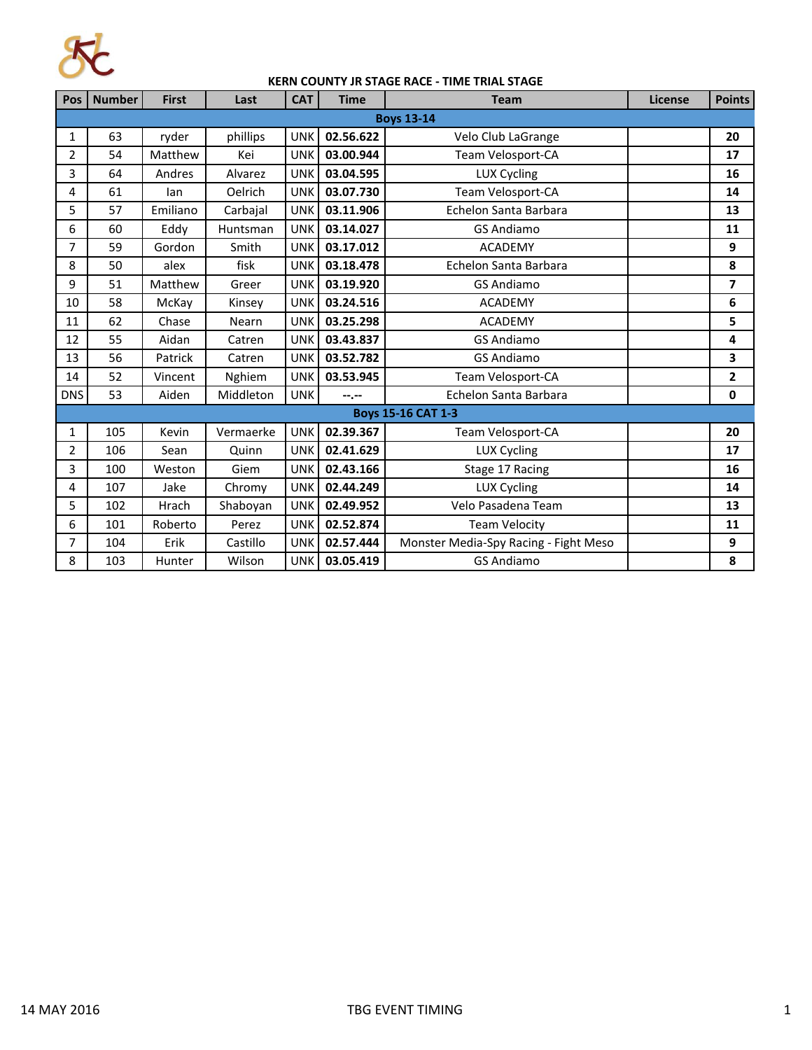

## **KERN COUNTY JR STAGE RACE - TIME TRIAL STAGE**

| Pos                       | <b>Number</b> | <b>First</b> | Last      | <b>CAT</b> | <b>Time</b>      | <b>Team</b>                           | <b>License</b> | <b>Points</b> |  |
|---------------------------|---------------|--------------|-----------|------------|------------------|---------------------------------------|----------------|---------------|--|
| <b>Boys 13-14</b>         |               |              |           |            |                  |                                       |                |               |  |
| $\mathbf{1}$              | 63            | ryder        | phillips  | <b>UNK</b> | 02.56.622        | Velo Club LaGrange                    |                | 20            |  |
| 2                         | 54            | Matthew      | Kei       | <b>UNK</b> | 03.00.944        | Team Velosport-CA                     |                | 17            |  |
| 3                         | 64            | Andres       | Alvarez   | <b>UNK</b> | 03.04.595        | LUX Cycling                           |                | 16            |  |
| 4                         | 61            | lan          | Oelrich   | <b>UNK</b> | 03.07.730        | Team Velosport-CA                     |                | 14            |  |
| 5                         | 57            | Emiliano     | Carbajal  | <b>UNK</b> | 03.11.906        | Echelon Santa Barbara                 |                | 13            |  |
| 6                         | 60            | Eddy         | Huntsman  | <b>UNK</b> | 03.14.027        | <b>GS Andiamo</b>                     |                | 11            |  |
| $\overline{7}$            | 59            | Gordon       | Smith     | <b>UNK</b> | 03.17.012        | <b>ACADEMY</b>                        |                | 9             |  |
| 8                         | 50            | alex         | fisk      | <b>UNK</b> | 03.18.478        | Echelon Santa Barbara                 |                | 8             |  |
| 9                         | 51            | Matthew      | Greer     | <b>UNK</b> | 03.19.920        | <b>GS Andiamo</b>                     |                | 7             |  |
| 10                        | 58            | McKay        | Kinsey    | <b>UNK</b> | 03.24.516        | <b>ACADEMY</b>                        |                | 6             |  |
| 11                        | 62            | Chase        | Nearn     | <b>UNK</b> | 03.25.298        | <b>ACADEMY</b>                        |                | 5             |  |
| 12                        | 55            | Aidan        | Catren    | <b>UNK</b> | 03.43.837        | <b>GS Andiamo</b>                     |                | 4             |  |
| 13                        | 56            | Patrick      | Catren    | <b>UNK</b> | 03.52.782        | <b>GS Andiamo</b>                     |                | 3             |  |
| 14                        | 52            | Vincent      | Nghiem    | <b>UNK</b> | 03.53.945        | Team Velosport-CA                     |                | $\mathbf{2}$  |  |
| <b>DNS</b>                | 53            | Aiden        | Middleton | <b>UNK</b> | $-1 - 1 - 1 = 0$ | Echelon Santa Barbara                 |                | 0             |  |
| <b>Boys 15-16 CAT 1-3</b> |               |              |           |            |                  |                                       |                |               |  |
| 1                         | 105           | Kevin        | Vermaerke | <b>UNK</b> | 02.39.367        | Team Velosport-CA                     |                | 20            |  |
| 2                         | 106           | Sean         | Quinn     | <b>UNK</b> | 02.41.629        | <b>LUX Cycling</b>                    |                | 17            |  |
| 3                         | 100           | Weston       | Giem      | <b>UNK</b> | 02.43.166        | Stage 17 Racing                       |                | 16            |  |
| 4                         | 107           | Jake         | Chromy    | <b>UNK</b> | 02.44.249        | <b>LUX Cycling</b>                    |                | 14            |  |
| 5                         | 102           | Hrach        | Shaboyan  | <b>UNK</b> | 02.49.952        | Velo Pasadena Team                    |                | 13            |  |
| 6                         | 101           | Roberto      | Perez     | <b>UNK</b> | 02.52.874        | <b>Team Velocity</b>                  |                | 11            |  |
| 7                         | 104           | Erik         | Castillo  | <b>UNK</b> | 02.57.444        | Monster Media-Spy Racing - Fight Meso |                | 9             |  |
| 8                         | 103           | Hunter       | Wilson    | <b>UNK</b> | 03.05.419        | <b>GS Andiamo</b>                     |                | 8             |  |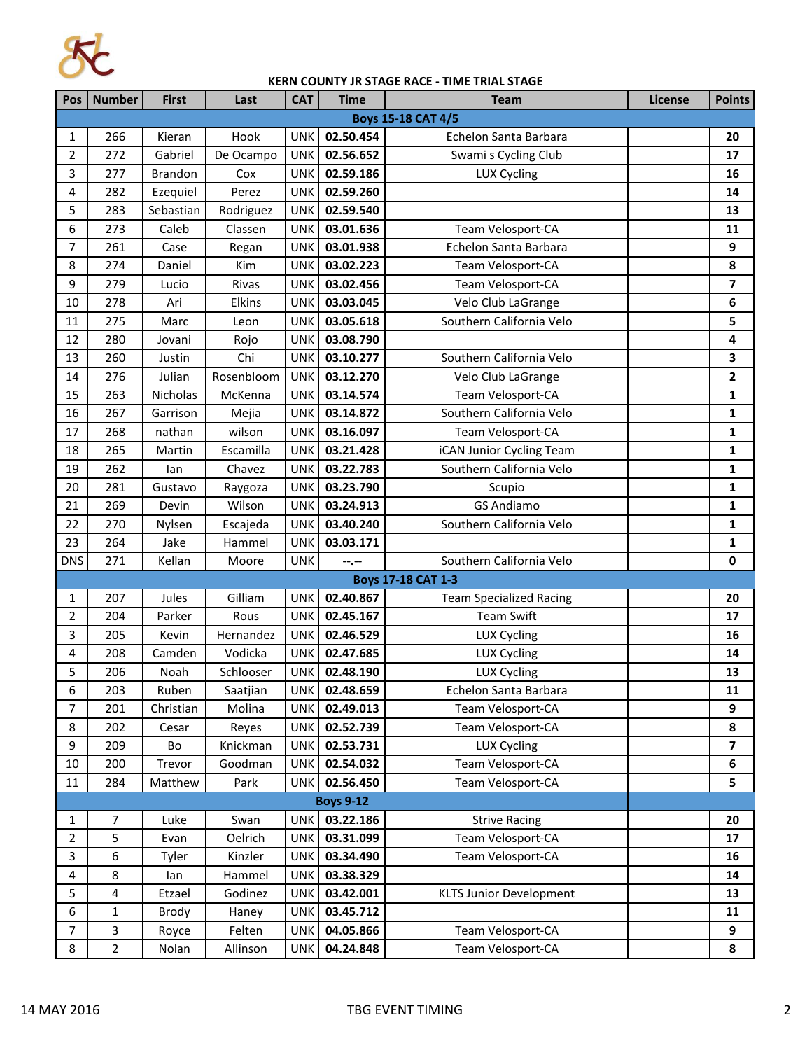

## **KERN COUNTY JR STAGE RACE - TIME TRIAL STAGE**

| Pos                                                 | <b>Number</b>  | <b>First</b>   | Last               | <b>CAT</b>               | <b>Time</b>            | <b>Team</b>                               | License | <b>Points</b>           |  |
|-----------------------------------------------------|----------------|----------------|--------------------|--------------------------|------------------------|-------------------------------------------|---------|-------------------------|--|
| <b>Boys 15-18 CAT 4/5</b>                           |                |                |                    |                          |                        |                                           |         |                         |  |
| 1                                                   | 266            | Kieran         | Hook               | <b>UNK</b>               | 02.50.454              | Echelon Santa Barbara                     |         | 20                      |  |
| 2                                                   | 272            | Gabriel        | De Ocampo          | <b>UNK</b>               | 02.56.652              | Swami s Cycling Club                      |         | 17                      |  |
| 3                                                   | 277            | <b>Brandon</b> | Cox                | <b>UNK</b>               | 02.59.186              | <b>LUX Cycling</b>                        |         | 16                      |  |
| 4                                                   | 282            | Ezequiel       | Perez              | <b>UNK</b>               | 02.59.260              |                                           |         | 14                      |  |
| 5                                                   | 283            | Sebastian      | Rodriguez          | <b>UNK</b>               | 02.59.540              |                                           |         | 13                      |  |
| 6                                                   | 273            | Caleb          | Classen            | <b>UNK</b>               | 03.01.636              | Team Velosport-CA                         |         | 11                      |  |
| $\overline{7}$                                      | 261            | Case           | Regan              | <b>UNK</b>               | 03.01.938              | Echelon Santa Barbara                     |         | 9                       |  |
| 8                                                   | 274            | Daniel         | Kim                | <b>UNK</b>               | 03.02.223              | Team Velosport-CA                         |         | 8                       |  |
| 9                                                   | 279            | Lucio          | Rivas              | <b>UNK</b>               | 03.02.456              | Team Velosport-CA                         |         | 7                       |  |
| 10                                                  | 278            | Ari            | Elkins             | <b>UNK</b>               | 03.03.045              | Velo Club LaGrange                        |         | 6                       |  |
| 11                                                  | 275            | Marc           | Leon               | <b>UNK</b>               | 03.05.618              | Southern California Velo                  |         | 5                       |  |
| 12                                                  | 280            | Jovani         | Rojo               | <b>UNK</b>               | 03.08.790              |                                           |         | 4                       |  |
| 13                                                  | 260            | Justin         | Chi                | <b>UNK</b>               | 03.10.277              | Southern California Velo                  |         | 3                       |  |
| 14                                                  | 276            | Julian         | Rosenbloom         | <b>UNK</b>               | 03.12.270              | Velo Club LaGrange                        |         | $\mathbf{2}$            |  |
| 15                                                  | 263            | Nicholas       | McKenna            | <b>UNK</b>               | 03.14.574              | Team Velosport-CA                         |         | $\mathbf{1}$            |  |
| 16                                                  | 267            | Garrison       | Mejia              | <b>UNK</b>               | 03.14.872              | Southern California Velo                  |         | 1                       |  |
| 17                                                  | 268            | nathan         | wilson             | <b>UNK</b>               | 03.16.097              | Team Velosport-CA                         |         | 1                       |  |
| 18                                                  | 265            | Martin         | Escamilla          | <b>UNK</b>               | 03.21.428              | iCAN Junior Cycling Team                  |         | $\mathbf{1}$            |  |
| 19                                                  | 262            | lan            | Chavez             | <b>UNK</b>               | 03.22.783              | Southern California Velo                  |         | 1                       |  |
| 20                                                  | 281            | Gustavo        | Raygoza            | <b>UNK</b>               | 03.23.790              | Scupio                                    |         | 1                       |  |
| 21                                                  | 269            | Devin          | Wilson             | <b>UNK</b>               | 03.24.913              | <b>GS Andiamo</b>                         |         | 1                       |  |
| 22                                                  | 270            | Nylsen         | Escajeda           | <b>UNK</b>               | 03.40.240              | Southern California Velo                  |         | 1                       |  |
| 23                                                  | 264            | Jake           | Hammel             | <b>UNK</b>               | 03.03.171              |                                           |         | 1                       |  |
| <b>DNS</b>                                          | 271            | Kellan         | Moore              | <b>UNK</b>               | --.--                  | Southern California Velo                  |         | 0                       |  |
|                                                     |                |                |                    |                          |                        | <b>Boys 17-18 CAT 1-3</b>                 |         |                         |  |
| 1                                                   | 207            | Jules          | Gilliam            | <b>UNK</b>               | 02.40.867              | <b>Team Specialized Racing</b>            |         | 20                      |  |
| 2                                                   | 204            | Parker         | Rous               | <b>UNK</b>               | 02.45.167              | <b>Team Swift</b>                         |         | 17                      |  |
| 3                                                   | 205            | Kevin          | Hernandez          | <b>UNK</b>               | 02.46.529              | LUX Cycling                               |         | 16                      |  |
| 4                                                   | 208            | Camden         | Vodicka            | <b>UNK</b>               | 02.47.685              | LUX Cycling                               |         | 14                      |  |
| 5                                                   | 206            | Noah           | Schlooser          | <b>UNK</b>               | 02.48.190              | <b>LUX Cycling</b>                        |         | 13                      |  |
| 6                                                   | 203            | Ruben          | Saatjian           | UNK.                     | 02.48.659              | Echelon Santa Barbara                     |         | 11                      |  |
| $\overline{7}$                                      | 201            | Christian      | Molina             | <b>UNK</b>               | 02.49.013              | Team Velosport-CA                         |         | 9                       |  |
| 8                                                   | 202            | Cesar          | Reyes              | <b>UNK</b>               | 02.52.739              | Team Velosport-CA                         |         | 8                       |  |
| 9                                                   | 209            | Bo             | Knickman           | <b>UNK</b>               | 02.53.731              | <b>LUX Cycling</b>                        |         | $\overline{\mathbf{z}}$ |  |
| 10                                                  | 200            | Trevor         | Goodman            | <b>UNK</b>               | 02.54.032              | Team Velosport-CA                         |         | 6                       |  |
| 11                                                  | 284            | Matthew        | Park               | <b>UNK</b>               | 02.56.450              | Team Velosport-CA                         |         | 5                       |  |
| <b>Boys 9-12</b><br>03.22.186<br>Swan<br><b>UNK</b> |                |                |                    |                          |                        |                                           |         | 20                      |  |
| 1<br>$\overline{2}$                                 | 7              | Luke           |                    |                          |                        | <b>Strive Racing</b><br>Team Velosport-CA |         | 17                      |  |
| 3                                                   | 5<br>6         | Evan<br>Tyler  | Oelrich<br>Kinzler | <b>UNK</b><br><b>UNK</b> | 03.31.099<br>03.34.490 | Team Velosport-CA                         |         |                         |  |
| 4                                                   | 8              |                | Hammel             | <b>UNK</b>               | 03.38.329              |                                           |         | 16<br>14                |  |
| 5                                                   | 4              | lan<br>Etzael  | Godinez            | <b>UNK</b>               | 03.42.001              | <b>KLTS Junior Development</b>            |         | 13                      |  |
| 6                                                   |                | Brody          |                    | <b>UNK</b>               | 03.45.712              |                                           |         |                         |  |
| $\overline{7}$                                      | 1<br>3         |                | Haney<br>Felten    | <b>UNK</b>               | 04.05.866              | Team Velosport-CA                         |         | 11<br>9                 |  |
| 8                                                   | $\overline{2}$ | Royce<br>Nolan |                    | <b>UNK</b>               | 04.24.848              | Team Velosport-CA                         |         | 8                       |  |
|                                                     |                |                | Allinson           |                          |                        |                                           |         |                         |  |